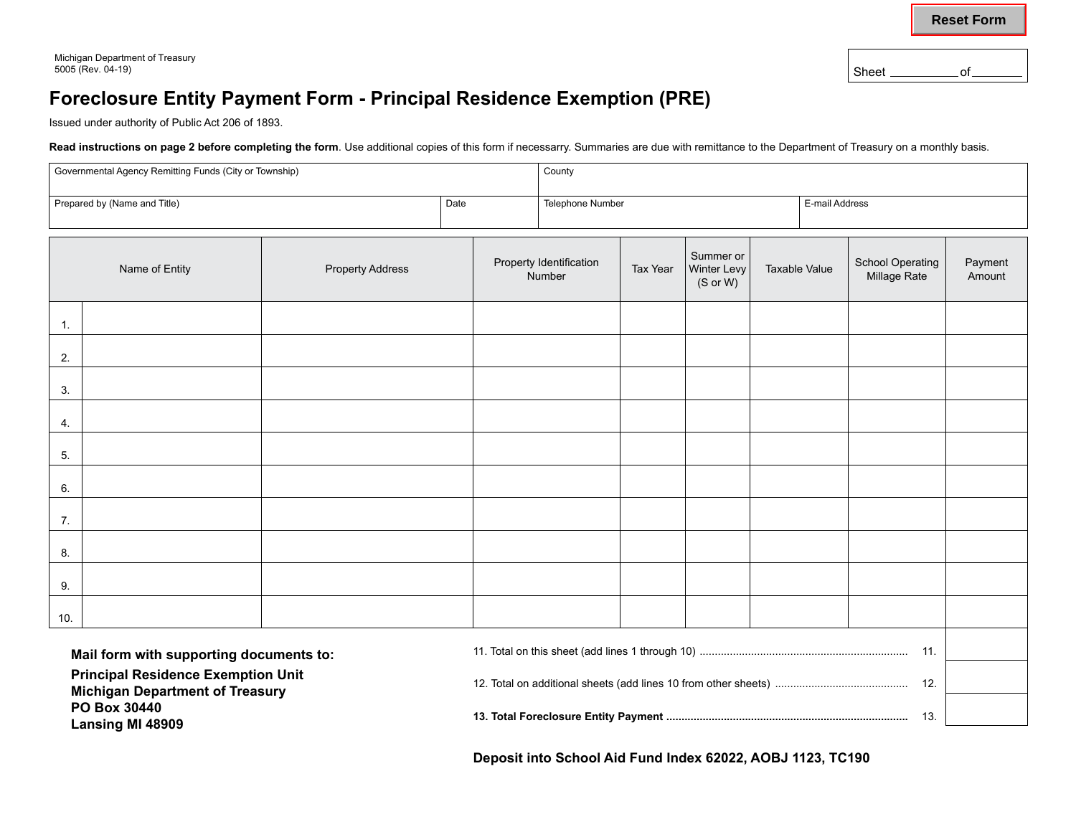**Reset Form**

**Lansing MI 48909**

Sheet \_\_\_\_\_\_\_\_\_\_\_\_\_ of\_

## **Foreclosure Entity Payment Form - Principal Residence Exemption (PRE)**

Issued under authority of Public Act 206 of 1893.

Read instructions on page 2 before completing the form. Use additional copies of this form if necessarry. Summaries are due with remittance to the Department of Treasury on a monthly basis.

| Governmental Agency Remitting Funds (City or Township)                                              |  |  |                                   |                  | County                               |                      |  |                                         |                   |  |  |
|-----------------------------------------------------------------------------------------------------|--|--|-----------------------------------|------------------|--------------------------------------|----------------------|--|-----------------------------------------|-------------------|--|--|
| Prepared by (Name and Title)                                                                        |  |  | Date                              | Telephone Number |                                      |                      |  |                                         | E-mail Address    |  |  |
| Name of Entity<br><b>Property Address</b>                                                           |  |  | Property Identification<br>Number |                  | Summer or<br>Winter Levy<br>(S or W) | <b>Taxable Value</b> |  | <b>School Operating</b><br>Millage Rate | Payment<br>Amount |  |  |
| 1.                                                                                                  |  |  |                                   |                  |                                      |                      |  |                                         |                   |  |  |
| 2.                                                                                                  |  |  |                                   |                  |                                      |                      |  |                                         |                   |  |  |
| 3.                                                                                                  |  |  |                                   |                  |                                      |                      |  |                                         |                   |  |  |
| 4.                                                                                                  |  |  |                                   |                  |                                      |                      |  |                                         |                   |  |  |
| 5.                                                                                                  |  |  |                                   |                  |                                      |                      |  |                                         |                   |  |  |
| 6.                                                                                                  |  |  |                                   |                  |                                      |                      |  |                                         |                   |  |  |
| 7.                                                                                                  |  |  |                                   |                  |                                      |                      |  |                                         |                   |  |  |
| 8.                                                                                                  |  |  |                                   |                  |                                      |                      |  |                                         |                   |  |  |
| 9.                                                                                                  |  |  |                                   |                  |                                      |                      |  |                                         |                   |  |  |
| 10.                                                                                                 |  |  |                                   |                  |                                      |                      |  |                                         |                   |  |  |
| Mail form with supporting documents to:                                                             |  |  |                                   |                  |                                      |                      |  |                                         |                   |  |  |
| <b>Principal Residence Exemption Unit</b><br><b>Michigan Department of Treasury</b><br>PO Box 30440 |  |  |                                   |                  |                                      |                      |  |                                         |                   |  |  |

**13. Total Foreclosure Entity Payment ................................................................................** 13.

**Deposit into School Aid Fund Index 62022, AOBJ 1123, TC190**